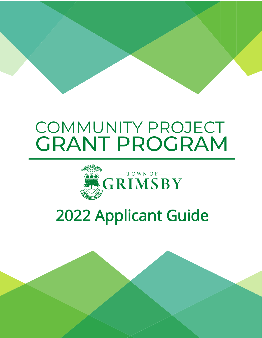# **COMMUNITY PROJECT GRANT PROGRAM**



# **2022 Applicant Guide**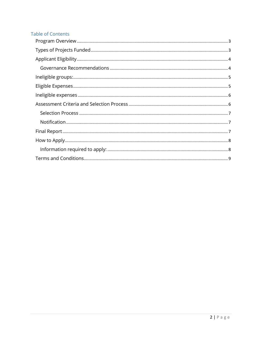## **Table of Contents**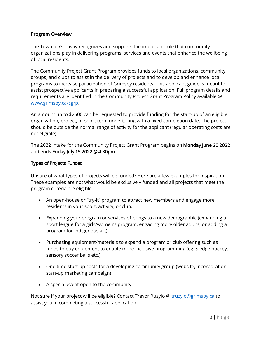#### <span id="page-2-0"></span>Program Overview

The Town of Grimsby recognizes and supports the important role that community organizations play in delivering programs, services and events that enhance the wellbeing of local residents.

The Community Project Grant Program provides funds to local organizations, community groups, and clubs to assist in the delivery of projects and to develop and enhance local programs to increase participation of Grimsby residents. This applicant guide is meant to assist prospective applicants in preparing a successful application. Full program details and requirements are identified in the Community Project Grant Program Policy available @ [www.grimsby.ca/cgrp.](http://www.grimsby.ca/cgrp)

An amount up to \$2500 can be requested to provide funding for the start-up of an eligible organization, project, or short term undertaking with a fixed completion date. The project should be outside the normal range of activity for the applicant (regular operating costs are not eligible).

The 2022 intake for the Community Project Grant Program begins on Monday June 20 2022 and ends Friday July 15 2022 @ 4:30pm.

#### <span id="page-2-1"></span>Types of Projects Funded

Unsure of what types of projects will be funded? Here are a few examples for inspiration. These examples are not what would be exclusively funded and all projects that meet the program criteria are eligible.

- An open-house or "try-it" program to attract new members and engage more residents in your sport, activity, or club.
- Expanding your program or services offerings to a new demographic (expanding a sport league for a girls/women's program, engaging more older adults, or adding a program for Indigenous art)
- Purchasing equipment/materials to expand a program or club offering such as funds to buy equipment to enable more inclusive programming (eg. Sledge hockey, sensory soccer balls etc.)
- One time start-up costs for a developing community group (website, incorporation, start-up marketing campaign)
- A special event open to the community

Not sure if your project will be eligible? Contact Trevor Ruzylo @ [truzylo@grimsby.ca](mailto:truzylo@grimsby.ca) to assist you in completing a successful application.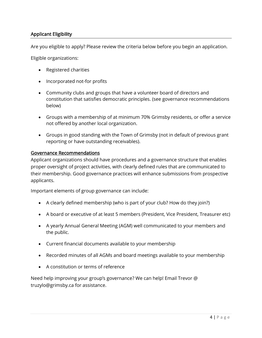### <span id="page-3-0"></span>Applicant Eligibility

Are you eligible to apply? Please review the criteria below before you begin an application.

Eligible organizations:

- Registered charities
- Incorporated not-for profits
- Community clubs and groups that have a volunteer board of directors and constitution that satisfies democratic principles. (see governance recommendations below)
- Groups with a membership of at minimum 70% Grimsby residents, or offer a service not offered by another local organization.
- Groups in good standing with the Town of Grimsby (not in default of previous grant reporting or have outstanding receivables).

#### <span id="page-3-1"></span>Governance Recommendations

Applicant organizations should have procedures and a governance structure that enables proper oversight of project activities, with clearly defined rules that are communicated to their membership. Good governance practices will enhance submissions from prospective applicants.

Important elements of group governance can include:

- A clearly defined membership (who is part of your club? How do they join?)
- A board or executive of at least 5 members (President, Vice President, Treasurer etc)
- A yearly Annual General Meeting (AGM) well communicated to your members and the public.
- Current financial documents available to your membership
- Recorded minutes of all AGMs and board meetings available to your membership
- A constitution or terms of reference

Need help improving your group's governance? We can help! Email Trevor @ truzylo@grimsby.ca for assistance.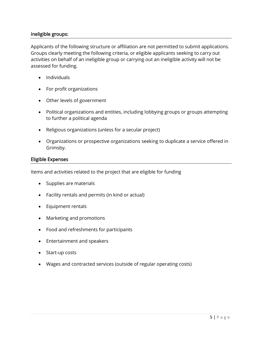#### <span id="page-4-0"></span>Ineligible groups:

Applicants of the following structure or affiliation are not permitted to submit applications. Groups clearly meeting the following criteria, or eligible applicants seeking to carry out activities on behalf of an ineligible group or carrying out an ineligible activity will not be assessed for funding.

- Individuals
- For profit organizations
- Other levels of government
- Political organizations and entities, including lobbying groups or groups attempting to further a political agenda
- Religious organizations (unless for a secular project)
- Organizations or prospective organizations seeking to duplicate a service offered in Grimsby.

#### <span id="page-4-1"></span>Eligible Expenses

Items and activities related to the project that are eligible for funding

- Supplies are materials
- Facility rentals and permits (in kind or actual)
- Equipment rentals
- Marketing and promotions
- Food and refreshments for participants
- Entertainment and speakers
- Start-up costs
- Wages and contracted services (outside of regular operating costs)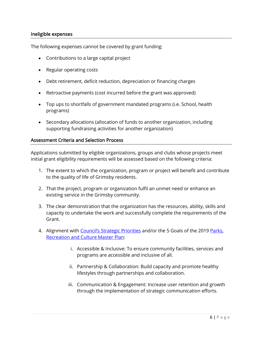#### <span id="page-5-0"></span>Ineligible expenses

The following expenses cannot be covered by grant funding:

- Contributions to a large capital project
- Regular operating costs
- Debt retirement, deficit reduction, depreciation or financing charges
- Retroactive payments (cost incurred before the grant was approved)
- Top ups to shortfalls of government mandated programs (i.e. School, health programs)
- Secondary allocations (allocation of funds to another organization, including supporting fundraising activities for another organization)

#### <span id="page-5-1"></span>Assessment Criteria and Selection Process

Applications submitted by eligible organizations, groups and clubs whose projects meet initial grant eligibility requirements will be assessed based on the following criteria:

- 1. The extent to which the organization, program or project will benefit and contribute to the quality of life of Grimsby residents.
- 2. That the project, program or organization fulfil an unmet need or enhance an existing service in the Grimsby community.
- 3. The clear demonstration that the organization has the resources, ability, skills and capacity to undertake the work and successfully complete the requirements of the Grant.
- 4. Alignment with [Council's Strategic Priorities](https://www.grimsby.ca/en/town-hall/resources/Documents/Town-of-Grimsby-Strategic-Priorities---Final.pdf) and/or the 5 Goals of the 2019 Parks, [Recreation and Culture Master Plan:](https://www.grimsby.ca/en/parks-recreation-culture/resources/Documents/Parks-Recreation-and-Culture-Master-Plan---march-2019.pdf)
	- i. Accessible & Inclusive: To ensure community facilities, services and programs are accessible and inclusive of all.
	- ii. Partnership & Collaboration: Build capacity and promote healthy lifestyles through partnerships and collaboration.
	- iii. Communication & Engagement: Increase user retention and growth through the implementation of strategic communication efforts.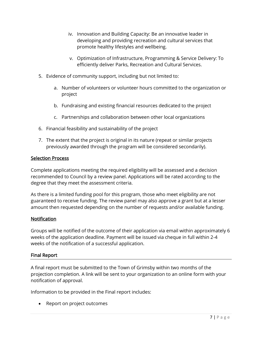- iv. Innovation and Building Capacity: Be an innovative leader in developing and providing recreation and cultural services that promote healthy lifestyles and wellbeing.
- v. Optimization of Infrastructure, Programming & Service Delivery: To efficiently deliver Parks, Recreation and Cultural Services.
- 5. Evidence of community support, including but not limited to:
	- a. Number of volunteers or volunteer hours committed to the organization or project
	- b. Fundraising and existing financial resources dedicated to the project
	- c. Partnerships and collaboration between other local organizations
- 6. Financial feasibility and sustainability of the project
- 7. The extent that the project is original in its nature (repeat or similar projects previously awarded through the program will be considered secondarily).

#### <span id="page-6-0"></span>Selection Process

Complete applications meeting the required eligibility will be assessed and a decision recommended to Council by a review panel. Applications will be rated according to the degree that they meet the assessment criteria.

As there is a limited funding pool for this program, those who meet eligibility are not guaranteed to receive funding. The review panel may also approve a grant but at a lesser amount then requested depending on the number of requests and/or available funding.

#### <span id="page-6-1"></span>**Notification**

Groups will be notified of the outcome of their application via email within approximately 6 weeks of the application deadline. Payment will be issued via cheque in full within 2-4 weeks of the notification of a successful application.

#### <span id="page-6-2"></span>Final Report

A final report must be submitted to the Town of Grimsby within two months of the projection completion. A link will be sent to your organization to an online form with your notification of approval.

Information to be provided in the Final report includes:

• Report on project outcomes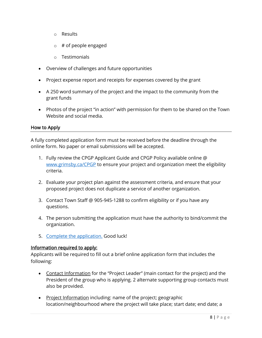- o Results
- $\circ$  # of people engaged
- o Testimonials
- Overview of challenges and future opportunities
- Project expense report and receipts for expenses covered by the grant
- A 250 word summary of the project and the impact to the community from the grant funds
- Photos of the project "in action" with permission for them to be shared on the Town Website and social media.

### <span id="page-7-0"></span>How to Apply

A fully completed application form must be received before the deadline through the online form. No paper or email submissions will be accepted.

- 1. Fully review the CPGP Applicant Guide and CPGP Policy available online @ [www.grimsby.ca/CPGP](http://www.grimsby.ca/CPGP) to ensure your project and organization meet the eligibility criteria.
- 2. Evaluate your project plan against the assessment criteria, and ensure that your proposed project does not duplicate a service of another organization.
- 3. Contact Town Staff @ 905-945-1288 to confirm eligibility or if you have any questions.
- 4. The person submitting the application must have the authority to bind/commit the organization.
- 5. [Complete the application.](http://www.grimsby.ca/cpgp) Good luck!

#### <span id="page-7-1"></span>Information required to apply:

Applicants will be required to fill out a brief online application form that includes the following:

- Contact Information for the "Project Leader" (main contact for the project) and the President of the group who is applying. 2 alternate supporting group contacts must also be provided.
- Project Information including: name of the project; geographic location/neighbourhood where the project will take place; start date; end date; a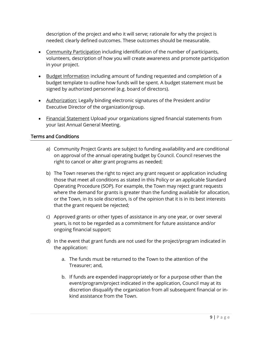description of the project and who it will serve; rationale for why the project is needed; clearly defined outcomes. These outcomes should be measurable.

- Community Participation including identification of the number of participants, volunteers, description of how you will create awareness and promote participation in your project.
- Budget Information including amount of funding requested and completion of a budget template to outline how funds will be spent. A budget statement must be signed by authorized personnel (e.g. board of directors).
- Authorization: Legally binding electronic signatures of the President and/or Executive Director of the organization/group.
- Financial Statement Upload your organizations signed financial statements from your last Annual General Meeting.

#### <span id="page-8-0"></span>Terms and Conditions

- a) Community Project Grants are subject to funding availability and are conditional on approval of the annual operating budget by Council. Council reserves the right to cancel or alter grant programs as needed;
- b) The Town reserves the right to reject any grant request or application including those that meet all conditions as stated in this Policy or an applicable Standard Operating Procedure (SOP). For example, the Town may reject grant requests where the demand for grants is greater than the funding available for allocation, or the Town, in its sole discretion, is of the opinion that it is in its best interests that the grant request be rejected;
- c) Approved grants or other types of assistance in any one year, or over several years, is not to be regarded as a commitment for future assistance and/or ongoing financial support;
- d) In the event that grant funds are not used for the project/program indicated in the application:
	- a. The funds must be returned to the Town to the attention of the Treasurer; and,
	- b. If funds are expended inappropriately or for a purpose other than the event/program/project indicated in the application, Council may at its discretion disqualify the organization from all subsequent financial or inkind assistance from the Town.